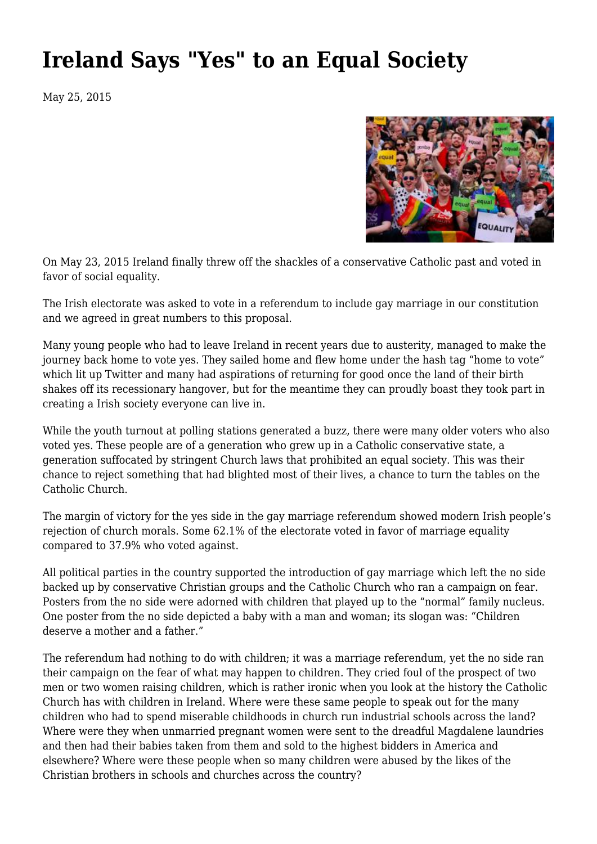## **[Ireland Says "Yes" to an Equal Society](https://newpol.org/ireland-says-yes-equal-society-0/)**

May 25, 2015



On May 23, 2015 Ireland finally threw off the shackles of a conservative Catholic past and voted in favor of social equality.

The Irish electorate was asked to vote in a referendum to include gay marriage in our constitution and we agreed in great numbers to this proposal.

Many young people who had to leave Ireland in recent years due to austerity, managed to make the journey back home to vote yes. They sailed home and flew home under the hash tag "home to vote" which lit up Twitter and many had aspirations of returning for good once the land of their birth shakes off its recessionary hangover, but for the meantime they can proudly boast they took part in creating a Irish society everyone can live in.

While the youth turnout at polling stations generated a buzz, there were many older voters who also voted yes. These people are of a generation who grew up in a Catholic conservative state, a generation suffocated by stringent Church laws that prohibited an equal society. This was their chance to reject something that had blighted most of their lives, a chance to turn the tables on the Catholic Church.

The margin of victory for the yes side in the gay marriage referendum showed modern Irish people's rejection of church morals. Some 62.1% of the electorate voted in favor of marriage equality compared to 37.9% who voted against.

All political parties in the country supported the introduction of gay marriage which left the no side backed up by conservative Christian groups and the Catholic Church who ran a campaign on fear. Posters from the no side were adorned with children that played up to the "normal" family nucleus. One poster from the no side depicted a baby with a man and woman; its slogan was: "Children deserve a mother and a father."

The referendum had nothing to do with children; it was a marriage referendum, yet the no side ran their campaign on the fear of what may happen to children. They cried foul of the prospect of two men or two women raising children, which is rather ironic when you look at the history the Catholic Church has with children in Ireland. Where were these same people to speak out for the many children who had to spend miserable childhoods in church run industrial schools across the land? Where were they when unmarried pregnant women were sent to the dreadful Magdalene laundries and then had their babies taken from them and sold to the highest bidders in America and elsewhere? Where were these people when so many children were abused by the likes of the Christian brothers in schools and churches across the country?